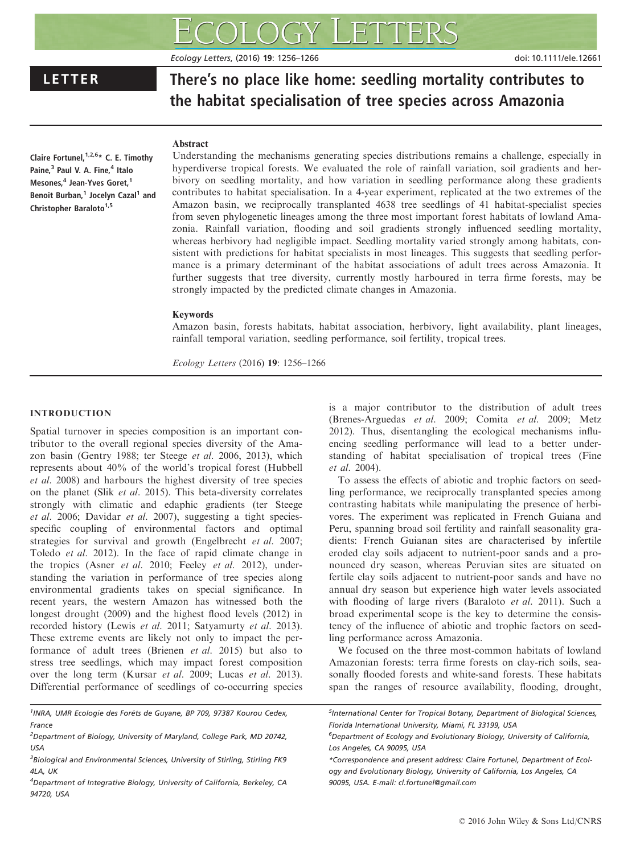Ecology Letters, (2016) 19: 1256–1266 doi: 10.1111/ele.12661

# LETTER There's no place like home: seedling mortality contributes to the habitat specialisation of tree species across Amazonia

# Abstract

Claire Fortunel,  $1,2,6*$  C. E. Timothy Paine,<sup>3</sup> Paul V. A. Fine,<sup>4</sup> Italo Mesones,<sup>4</sup> Jean-Yves Goret,<sup>1</sup> Benoit Burban,<sup>1</sup> Jocelyn Cazal<sup>1</sup> and Christopher Baraloto<sup>1,5</sup>

Understanding the mechanisms generating species distributions remains a challenge, especially in hyperdiverse tropical forests. We evaluated the role of rainfall variation, soil gradients and herbivory on seedling mortality, and how variation in seedling performance along these gradients contributes to habitat specialisation. In a 4-year experiment, replicated at the two extremes of the Amazon basin, we reciprocally transplanted 4638 tree seedlings of 41 habitat-specialist species from seven phylogenetic lineages among the three most important forest habitats of lowland Amazonia. Rainfall variation, flooding and soil gradients strongly influenced seedling mortality, whereas herbivory had negligible impact. Seedling mortality varied strongly among habitats, consistent with predictions for habitat specialists in most lineages. This suggests that seedling performance is a primary determinant of the habitat associations of adult trees across Amazonia. It further suggests that tree diversity, currently mostly harboured in terra firme forests, may be strongly impacted by the predicted climate changes in Amazonia.

# Keywords

Amazon basin, forests habitats, habitat association, herbivory, light availability, plant lineages, rainfall temporal variation, seedling performance, soil fertility, tropical trees.

Ecology Letters (2016) 19: 1256–1266

# INTRODUCTION

Spatial turnover in species composition is an important contributor to the overall regional species diversity of the Amazon basin (Gentry 1988; ter Steege et al. 2006, 2013), which represents about 40% of the world's tropical forest (Hubbell et al. 2008) and harbours the highest diversity of tree species on the planet (Slik et al. 2015). This beta-diversity correlates strongly with climatic and edaphic gradients (ter Steege et al. 2006; Davidar et al. 2007), suggesting a tight speciesspecific coupling of environmental factors and optimal strategies for survival and growth (Engelbrecht et al. 2007; Toledo et al. 2012). In the face of rapid climate change in the tropics (Asner et al. 2010; Feeley et al. 2012), understanding the variation in performance of tree species along environmental gradients takes on special significance. In recent years, the western Amazon has witnessed both the longest drought (2009) and the highest flood levels (2012) in recorded history (Lewis et al. 2011; Satyamurty et al. 2013). These extreme events are likely not only to impact the performance of adult trees (Brienen et al. 2015) but also to stress tree seedlings, which may impact forest composition over the long term (Kursar et al. 2009; Lucas et al. 2013). Differential performance of seedlings of co-occurring species

<sup>1</sup>INRA, UMR Ecologie des Forêts de Guyane, BP 709, 97387 Kourou Cedex, France

<sup>2</sup>Department of Biology, University of Maryland, College Park, MD 20742, USA

 ${}^{3}$ Biological and Environmental Sciences, University of Stirling, Stirling FK9 4LA, UK

4 Department of Integrative Biology, University of California, Berkeley, CA 94720, USA

is a major contributor to the distribution of adult trees (Brenes-Arguedas et al. 2009; Comita et al. 2009; Metz 2012). Thus, disentangling the ecological mechanisms influencing seedling performance will lead to a better understanding of habitat specialisation of tropical trees (Fine et al. 2004).

To assess the effects of abiotic and trophic factors on seedling performance, we reciprocally transplanted species among contrasting habitats while manipulating the presence of herbivores. The experiment was replicated in French Guiana and Peru, spanning broad soil fertility and rainfall seasonality gradients: French Guianan sites are characterised by infertile eroded clay soils adjacent to nutrient-poor sands and a pronounced dry season, whereas Peruvian sites are situated on fertile clay soils adjacent to nutrient-poor sands and have no annual dry season but experience high water levels associated with flooding of large rivers (Baraloto et al. 2011). Such a broad experimental scope is the key to determine the consistency of the influence of abiotic and trophic factors on seedling performance across Amazonia.

We focused on the three most-common habitats of lowland Amazonian forests: terra firme forests on clay-rich soils, seasonally flooded forests and white-sand forests. These habitats span the ranges of resource availability, flooding, drought,

5 International Center for Tropical Botany, Department of Biological Sciences, Florida International University, Miami, FL 33199, USA

6 Department of Ecology and Evolutionary Biology, University of California, Los Angeles, CA 90095, USA

<sup>\*</sup>Correspondence and present address: Claire Fortunel, Department of Ecology and Evolutionary Biology, University of California, Los Angeles, CA 90095, USA. E-mail: cl.fortunel@gmail.com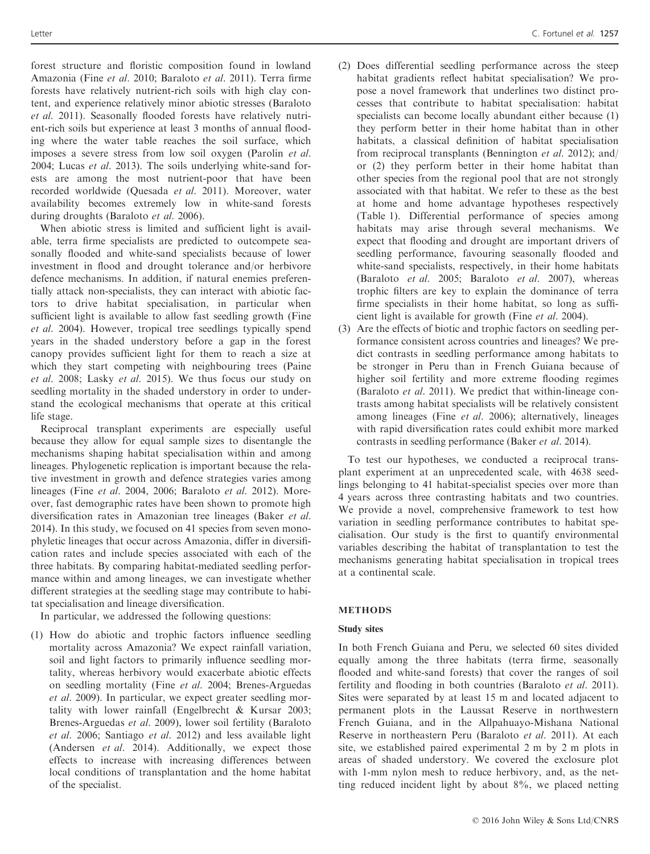forest structure and floristic composition found in lowland Amazonia (Fine et al. 2010; Baraloto et al. 2011). Terra firme forests have relatively nutrient-rich soils with high clay content, and experience relatively minor abiotic stresses (Baraloto et al. 2011). Seasonally flooded forests have relatively nutrient-rich soils but experience at least 3 months of annual flooding where the water table reaches the soil surface, which imposes a severe stress from low soil oxygen (Parolin et al. 2004; Lucas *et al.* 2013). The soils underlying white-sand forests are among the most nutrient-poor that have been recorded worldwide (Quesada et al. 2011). Moreover, water availability becomes extremely low in white-sand forests during droughts (Baraloto et al. 2006).

When abiotic stress is limited and sufficient light is available, terra firme specialists are predicted to outcompete seasonally flooded and white-sand specialists because of lower investment in flood and drought tolerance and/or herbivore defence mechanisms. In addition, if natural enemies preferentially attack non-specialists, they can interact with abiotic factors to drive habitat specialisation, in particular when sufficient light is available to allow fast seedling growth (Fine et al. 2004). However, tropical tree seedlings typically spend years in the shaded understory before a gap in the forest canopy provides sufficient light for them to reach a size at which they start competing with neighbouring trees (Paine et al. 2008; Lasky et al. 2015). We thus focus our study on seedling mortality in the shaded understory in order to understand the ecological mechanisms that operate at this critical life stage.

Reciprocal transplant experiments are especially useful because they allow for equal sample sizes to disentangle the mechanisms shaping habitat specialisation within and among lineages. Phylogenetic replication is important because the relative investment in growth and defence strategies varies among lineages (Fine et al. 2004, 2006; Baraloto et al. 2012). Moreover, fast demographic rates have been shown to promote high diversification rates in Amazonian tree lineages (Baker et al. 2014). In this study, we focused on 41 species from seven monophyletic lineages that occur across Amazonia, differ in diversification rates and include species associated with each of the three habitats. By comparing habitat-mediated seedling performance within and among lineages, we can investigate whether different strategies at the seedling stage may contribute to habitat specialisation and lineage diversification.

In particular, we addressed the following questions:

(1) How do abiotic and trophic factors influence seedling mortality across Amazonia? We expect rainfall variation, soil and light factors to primarily influence seedling mortality, whereas herbivory would exacerbate abiotic effects on seedling mortality (Fine et al. 2004; Brenes-Arguedas et al. 2009). In particular, we expect greater seedling mortality with lower rainfall (Engelbrecht & Kursar 2003; Brenes-Arguedas et al. 2009), lower soil fertility (Baraloto et al. 2006; Santiago et al. 2012) and less available light (Andersen et al. 2014). Additionally, we expect those effects to increase with increasing differences between local conditions of transplantation and the home habitat of the specialist.

- (2) Does differential seedling performance across the steep habitat gradients reflect habitat specialisation? We propose a novel framework that underlines two distinct processes that contribute to habitat specialisation: habitat specialists can become locally abundant either because (1) they perform better in their home habitat than in other habitats, a classical definition of habitat specialisation from reciprocal transplants (Bennington et al. 2012); and/ or (2) they perform better in their home habitat than other species from the regional pool that are not strongly associated with that habitat. We refer to these as the best at home and home advantage hypotheses respectively (Table 1). Differential performance of species among habitats may arise through several mechanisms. We expect that flooding and drought are important drivers of seedling performance, favouring seasonally flooded and white-sand specialists, respectively, in their home habitats (Baraloto et al. 2005; Baraloto et al. 2007), whereas trophic filters are key to explain the dominance of terra firme specialists in their home habitat, so long as sufficient light is available for growth (Fine et al. 2004).
- (3) Are the effects of biotic and trophic factors on seedling performance consistent across countries and lineages? We predict contrasts in seedling performance among habitats to be stronger in Peru than in French Guiana because of higher soil fertility and more extreme flooding regimes (Baraloto et al. 2011). We predict that within-lineage contrasts among habitat specialists will be relatively consistent among lineages (Fine et al. 2006); alternatively, lineages with rapid diversification rates could exhibit more marked contrasts in seedling performance (Baker et al. 2014).

To test our hypotheses, we conducted a reciprocal transplant experiment at an unprecedented scale, with 4638 seedlings belonging to 41 habitat-specialist species over more than 4 years across three contrasting habitats and two countries. We provide a novel, comprehensive framework to test how variation in seedling performance contributes to habitat specialisation. Our study is the first to quantify environmental variables describing the habitat of transplantation to test the mechanisms generating habitat specialisation in tropical trees at a continental scale.

# **METHODS**

# Study sites

In both French Guiana and Peru, we selected 60 sites divided equally among the three habitats (terra firme, seasonally flooded and white-sand forests) that cover the ranges of soil fertility and flooding in both countries (Baraloto et al. 2011). Sites were separated by at least 15 m and located adjacent to permanent plots in the Laussat Reserve in northwestern French Guiana, and in the Allpahuayo-Mishana National Reserve in northeastern Peru (Baraloto et al. 2011). At each site, we established paired experimental 2 m by 2 m plots in areas of shaded understory. We covered the exclosure plot with 1-mm nylon mesh to reduce herbivory, and, as the netting reduced incident light by about 8%, we placed netting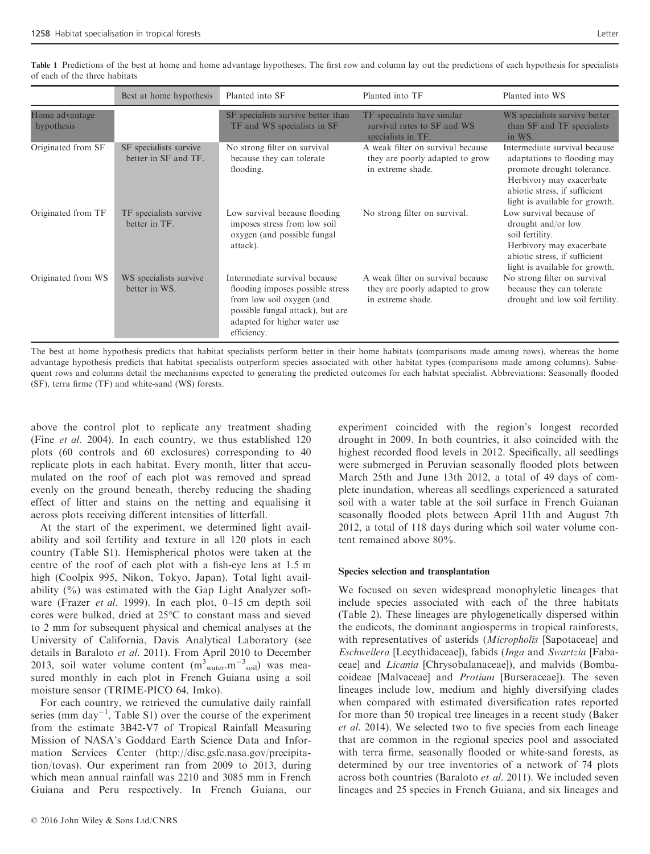|                              | Best at home hypothesis                        | Planted into SF                                                                                                                                                                   | Planted into TF                                                                           | Planted into WS                                                                                                                                                                           |
|------------------------------|------------------------------------------------|-----------------------------------------------------------------------------------------------------------------------------------------------------------------------------------|-------------------------------------------------------------------------------------------|-------------------------------------------------------------------------------------------------------------------------------------------------------------------------------------------|
| Home advantage<br>hypothesis |                                                | SF specialists survive better than<br>TF and WS specialists in SF                                                                                                                 | TF specialists have similar<br>survival rates to SF and WS<br>specialists in TF.          | WS specialists survive better<br>than SF and TF specialists<br>in WS.                                                                                                                     |
| Originated from SF           | SF specialists survive<br>better in SF and TF. | No strong filter on survival<br>because they can tolerate<br>flooding.                                                                                                            | A weak filter on survival because<br>they are poorly adapted to grow<br>in extreme shade. | Intermediate survival because<br>adaptations to flooding may<br>promote drought tolerance.<br>Herbivory may exacerbate<br>abiotic stress, if sufficient<br>light is available for growth. |
| Originated from TF           | TF specialists survive<br>better in TF.        | Low survival because flooding<br>imposes stress from low soil<br>oxygen (and possible fungal<br>attack).                                                                          | No strong filter on survival.                                                             | Low survival because of<br>drought and/or low<br>soil fertility.<br>Herbivory may exacerbate<br>abiotic stress, if sufficient<br>light is available for growth.                           |
| Originated from WS           | WS specialists survive<br>better in WS.        | Intermediate survival because<br>flooding imposes possible stress<br>from low soil oxygen (and<br>possible fungal attack), but are<br>adapted for higher water use<br>efficiency. | A weak filter on survival because<br>they are poorly adapted to grow<br>in extreme shade. | No strong filter on survival<br>because they can tolerate<br>drought and low soil fertility.                                                                                              |

Table 1 Predictions of the best at home and home advantage hypotheses. The first row and column lay out the predictions of each hypothesis for specialists of each of the three habitats

The best at home hypothesis predicts that habitat specialists perform better in their home habitats (comparisons made among rows), whereas the home advantage hypothesis predicts that habitat specialists outperform species associated with other habitat types (comparisons made among columns). Subsequent rows and columns detail the mechanisms expected to generating the predicted outcomes for each habitat specialist. Abbreviations: Seasonally flooded (SF), terra firme (TF) and white-sand (WS) forests.

above the control plot to replicate any treatment shading (Fine et al. 2004). In each country, we thus established 120 plots (60 controls and 60 exclosures) corresponding to 40 replicate plots in each habitat. Every month, litter that accumulated on the roof of each plot was removed and spread evenly on the ground beneath, thereby reducing the shading effect of litter and stains on the netting and equalising it across plots receiving different intensities of litterfall.

At the start of the experiment, we determined light availability and soil fertility and texture in all 120 plots in each country (Table S1). Hemispherical photos were taken at the centre of the roof of each plot with a fish-eye lens at 1.5 m high (Coolpix 995, Nikon, Tokyo, Japan). Total light availability  $(\%)$  was estimated with the Gap Light Analyzer software (Frazer *et al.* 1999). In each plot, 0–15 cm depth soil cores were bulked, dried at 25°C to constant mass and sieved to 2 mm for subsequent physical and chemical analyses at the University of California, Davis Analytical Laboratory (see details in Baraloto et al. 2011). From April 2010 to December 2013, soil water volume content  $(m<sup>3</sup><sub>water</sub>, m<sup>-3</sup><sub>soil</sub>)$  was measured monthly in each plot in French Guiana using a soil moisture sensor (TRIME-PICO 64, Imko).

For each country, we retrieved the cumulative daily rainfall series (mm day<sup>-1</sup>, Table S1) over the course of the experiment from the estimate 3B42-V7 of Tropical Rainfall Measuring Mission of NASA's Goddard Earth Science Data and Information Services Center ([http://disc.gsfc.nasa.gov/precipita](http://disc.gsfc.nasa.gov/precipitation/tovas)[tion/tovas](http://disc.gsfc.nasa.gov/precipitation/tovas)). Our experiment ran from 2009 to 2013, during which mean annual rainfall was 2210 and 3085 mm in French Guiana and Peru respectively. In French Guiana, our

experiment coincided with the region's longest recorded drought in 2009. In both countries, it also coincided with the highest recorded flood levels in 2012. Specifically, all seedlings were submerged in Peruvian seasonally flooded plots between March 25th and June 13th 2012, a total of 49 days of complete inundation, whereas all seedlings experienced a saturated soil with a water table at the soil surface in French Guianan seasonally flooded plots between April 11th and August 7th 2012, a total of 118 days during which soil water volume content remained above 80%.

## Species selection and transplantation

We focused on seven widespread monophyletic lineages that include species associated with each of the three habitats (Table 2). These lineages are phylogenetically dispersed within the eudicots, the dominant angiosperms in tropical rainforests, with representatives of asterids (Micropholis [Sapotaceae] and Eschweilera [Lecythidaceae]), fabids (Inga and Swartzia [Fabaceae] and Licania [Chrysobalanaceae]), and malvids (Bombacoideae [Malvaceae] and Protium [Burseraceae]). The seven lineages include low, medium and highly diversifying clades when compared with estimated diversification rates reported for more than 50 tropical tree lineages in a recent study (Baker et al. 2014). We selected two to five species from each lineage that are common in the regional species pool and associated with terra firme, seasonally flooded or white-sand forests, as determined by our tree inventories of a network of 74 plots across both countries (Baraloto et al. 2011). We included seven lineages and 25 species in French Guiana, and six lineages and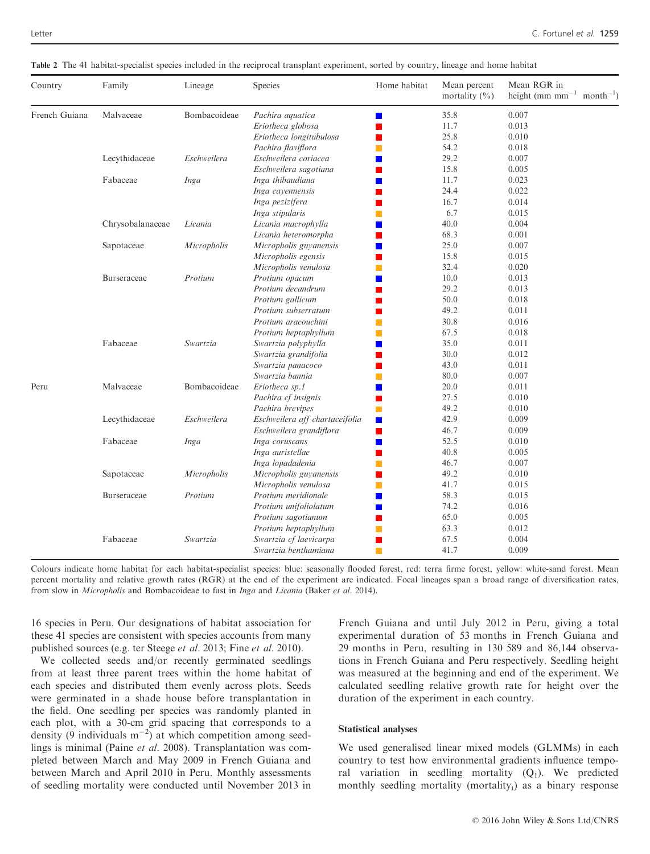| Country       | Family           | Lineage      | Species                        | Home habitat     | Mean percent<br>mortality $(\% )$ | Mean RGR in<br>height (mm mm <sup><math>-1</math></sup> month <sup><math>-1</math></sup> ) |
|---------------|------------------|--------------|--------------------------------|------------------|-----------------------------------|--------------------------------------------------------------------------------------------|
| French Guiana | Malvaceae        | Bombacoideae | Pachira aquatica               | $\blacksquare$   | 35.8                              | 0.007                                                                                      |
|               |                  |              | Eriotheca globosa              |                  | 11.7                              | 0.013                                                                                      |
|               |                  |              | Eriotheca longitubulosa        |                  | 25.8                              | 0.010                                                                                      |
|               |                  |              | Pachira flaviflora             |                  | 54.2                              | 0.018                                                                                      |
|               | Lecythidaceae    | Eschweilera  | Eschweilera coriacea           |                  | 29.2                              | 0.007                                                                                      |
|               |                  |              | Eschweilera sagotiana          |                  | 15.8                              | 0.005                                                                                      |
|               | Fabaceae         | Inga         | Inga thibaudiana               |                  | 11.7                              | 0.023                                                                                      |
|               |                  |              | Inga cayennensis               |                  | 24.4                              | 0.022                                                                                      |
|               |                  |              | Inga pezizifera                |                  | 16.7                              | 0.014                                                                                      |
|               |                  |              | Inga stipularis                |                  | 6.7                               | 0.015                                                                                      |
|               | Chrysobalanaceae | Licania      | Licania macrophylla            |                  | 40.0                              | 0.004                                                                                      |
|               |                  |              | Licania heteromorpha           |                  | 68.3                              | 0.001                                                                                      |
|               | Sapotaceae       | Micropholis  | Micropholis guyanensis         |                  | 25.0                              | 0.007                                                                                      |
|               |                  |              | Micropholis egensis            |                  | 15.8                              | 0.015                                                                                      |
|               |                  |              | Micropholis venulosa           |                  | 32.4                              | 0.020                                                                                      |
|               | Burseraceae      | Protium      | Protium opacum                 |                  | 10.0                              | 0.013                                                                                      |
|               |                  |              | Protium decandrum              |                  | 29.2                              | 0.013                                                                                      |
|               |                  |              | Protium gallicum               |                  | 50.0                              | 0.018                                                                                      |
|               |                  |              | Protium subserratum            |                  | 49.2                              | 0.011                                                                                      |
|               |                  |              | Protium aracouchini            |                  | 30.8                              | 0.016                                                                                      |
|               |                  |              | Protium heptaphyllum           |                  | 67.5                              | 0.018                                                                                      |
|               | Fabaceae         | Swartzia     | Swartzia polyphylla            |                  | 35.0                              | 0.011                                                                                      |
|               |                  |              | Swartzia grandifolia           |                  | 30.0                              | 0.012                                                                                      |
|               |                  |              | Swartzia panacoco              |                  | 43.0                              | 0.011                                                                                      |
|               |                  |              | Swartzia bannia                |                  | 80.0                              | 0.007                                                                                      |
| Peru          | Malvaceae        | Bombacoideae | Eriotheca sp.1                 |                  | 20.0                              | 0.011                                                                                      |
|               |                  |              | Pachira cf insignis            |                  | 27.5                              | 0.010                                                                                      |
|               |                  |              | Pachira brevipes               |                  | 49.2                              | 0.010                                                                                      |
|               | Lecythidaceae    | Eschweilera  | Eschweilera aff chartaceifolia | ш                | 42.9                              | 0.009                                                                                      |
|               |                  |              | Eschweilera grandiflora        |                  | 46.7                              | 0.009                                                                                      |
|               | Fabaceae         | Inga         | Inga coruscans                 | <b>The State</b> | 52.5                              | 0.010                                                                                      |
|               |                  |              | Inga auristellae               |                  | 40.8                              | 0.005                                                                                      |
|               |                  |              | Inga lopadadenia               |                  | 46.7                              | 0.007                                                                                      |
|               | Sapotaceae       | Micropholis  | Micropholis guyanensis         |                  | 49.2                              | 0.010                                                                                      |
|               |                  |              | Micropholis venulosa           |                  | 41.7                              | 0.015                                                                                      |
|               | Burseraceae      | Protium      | Protium meridionale            |                  | 58.3                              | 0.015                                                                                      |
|               |                  |              | Protium unifoliolatum          |                  | 74.2                              | 0.016                                                                                      |
|               |                  |              | Protium sagotianum             |                  | 65.0                              | 0.005                                                                                      |
|               |                  |              | Protium heptaphyllum           |                  | 63.3                              | 0.012                                                                                      |
|               | Fabaceae         | Swartzia     | Swartzia cf laevicarpa         |                  | 67.5                              | 0.004                                                                                      |
|               |                  |              | Swartzia benthamiana           | П                | 41.7                              | 0.009                                                                                      |

Table 2 The 41 habitat-specialist species included in the reciprocal transplant experiment, sorted by country, lineage and home habitat

Colours indicate home habitat for each habitat-specialist species: blue: seasonally flooded forest, red: terra firme forest, yellow: white-sand forest. Mean percent mortality and relative growth rates (RGR) at the end of the experiment are indicated. Focal lineages span a broad range of diversification rates, from slow in Micropholis and Bombacoideae to fast in Inga and Licania (Baker et al. 2014).

16 species in Peru. Our designations of habitat association for these 41 species are consistent with species accounts from many published sources (e.g. ter Steege et al. 2013; Fine et al. 2010).

We collected seeds and/or recently germinated seedlings from at least three parent trees within the home habitat of each species and distributed them evenly across plots. Seeds were germinated in a shade house before transplantation in the field. One seedling per species was randomly planted in each plot, with a 30-cm grid spacing that corresponds to a density (9 individuals  $m^{-2}$ ) at which competition among seedlings is minimal (Paine et al. 2008). Transplantation was completed between March and May 2009 in French Guiana and between March and April 2010 in Peru. Monthly assessments of seedling mortality were conducted until November 2013 in French Guiana and until July 2012 in Peru, giving a total experimental duration of 53 months in French Guiana and 29 months in Peru, resulting in 130 589 and 86,144 observations in French Guiana and Peru respectively. Seedling height was measured at the beginning and end of the experiment. We calculated seedling relative growth rate for height over the duration of the experiment in each country.

# Statistical analyses

We used generalised linear mixed models (GLMMs) in each country to test how environmental gradients influence temporal variation in seedling mortality  $(Q_1)$ . We predicted monthly seedling mortality (mortality $<sub>t</sub>$ ) as a binary response</sub>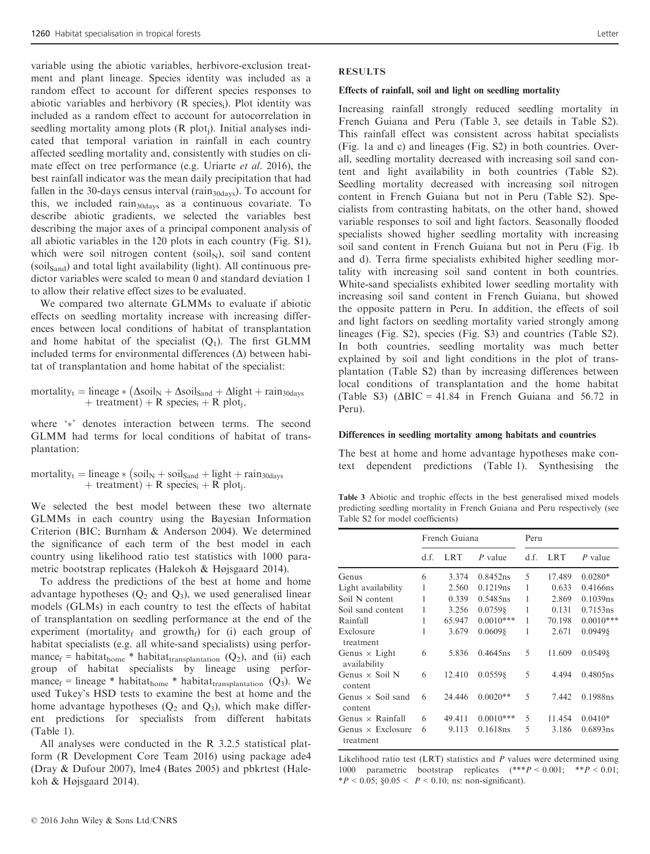variable using the abiotic variables, herbivore-exclusion treatment and plant lineage. Species identity was included as a random effect to account for different species responses to abiotic variables and herbivory (R species<sub>i</sub>). Plot identity was included as a random effect to account for autocorrelation in seedling mortality among plots (R plot<sub>i</sub>). Initial analyses indicated that temporal variation in rainfall in each country affected seedling mortality and, consistently with studies on climate effect on tree performance (e.g. Uriarte et al. 2016), the best rainfall indicator was the mean daily precipitation that had fallen in the 30-days census interval ( $rain<sub>30davs</sub>$ ). To account for this, we included rain<sub>30days</sub> as a continuous covariate. To describe abiotic gradients, we selected the variables best describing the major axes of a principal component analysis of all abiotic variables in the 120 plots in each country (Fig. S1), which were soil nitrogen content (soil<sub>N</sub>), soil sand content  $(soil<sub>Sand</sub>)$  and total light availability (light). All continuous predictor variables were scaled to mean 0 and standard deviation 1 to allow their relative effect sizes to be evaluated.

We compared two alternate GLMMs to evaluate if abiotic effects on seedling mortality increase with increasing differences between local conditions of habitat of transplantation and home habitat of the specialist  $(O_1)$ . The first GLMM included terms for environmental differences  $(\Delta)$  between habitat of transplantation and home habitat of the specialist:

$$
\begin{array}{c} \text{mortality}_{t} = \text{linear}_{*} \left( \Delta \text{soil}_{N} + \Delta \text{soil}_{\text{Sand}} + \Delta \text{light} + \text{rain}_{30 \text{days}} \right. \\ \left. + \text{ treatment} \right) + R \text{ species}_{i} + R \text{ plot}_{j}, \end{array}
$$

where '\*' denotes interaction between terms. The second GLMM had terms for local conditions of habitat of transplantation:

mortality<sub>t</sub> = lineage  $\ast$  (soil<sub>N</sub> + soil<sub>Sand</sub> + light + rain<sub>30days</sub> + treatment) + R species<sub>i</sub> + R plot<sub>i</sub>.

We selected the best model between these two alternate GLMMs in each country using the Bayesian Information Criterion (BIC; Burnham & Anderson 2004). We determined the significance of each term of the best model in each country using likelihood ratio test statistics with 1000 parametric bootstrap replicates (Halekoh & Højsgaard 2014).

To address the predictions of the best at home and home advantage hypotheses  $(Q_2 \text{ and } Q_3)$ , we used generalised linear models (GLMs) in each country to test the effects of habitat of transplantation on seedling performance at the end of the experiment (mortality<sub>f</sub> and growth<sub>f</sub>) for (i) each group of habitat specialists (e.g. all white-sand specialists) using performance<sub>f</sub> = habitat<sub>home</sub> \* habitat<sub>transplantation</sub> (Q<sub>2</sub>), and (ii) each group of habitat specialists by lineage using performance<sub>f</sub> = lineage \* habitat<sub>home</sub> \* habitat<sub>transplantation</sub> (Q<sub>3</sub>). We used Tukey's HSD tests to examine the best at home and the home advantage hypotheses  $(Q_2 \text{ and } Q_3)$ , which make different predictions for specialists from different habitats (Table 1).

All analyses were conducted in the R 3.2.5 statistical platform (R Development Core Team 2016) using package ade4 (Dray & Dufour 2007), lme4 (Bates 2005) and pbkrtest (Halekoh & Højsgaard 2014).

# RESULTS

#### Effects of rainfall, soil and light on seedling mortality

Increasing rainfall strongly reduced seedling mortality in French Guiana and Peru (Table 3, see details in Table S2). This rainfall effect was consistent across habitat specialists (Fig. 1a and c) and lineages (Fig. S2) in both countries. Overall, seedling mortality decreased with increasing soil sand content and light availability in both countries (Table S2). Seedling mortality decreased with increasing soil nitrogen content in French Guiana but not in Peru (Table S2). Specialists from contrasting habitats, on the other hand, showed variable responses to soil and light factors. Seasonally flooded specialists showed higher seedling mortality with increasing soil sand content in French Guiana but not in Peru (Fig. 1b and d). Terra firme specialists exhibited higher seedling mortality with increasing soil sand content in both countries. White-sand specialists exhibited lower seedling mortality with increasing soil sand content in French Guiana, but showed the opposite pattern in Peru. In addition, the effects of soil and light factors on seedling mortality varied strongly among lineages (Fig. S2), species (Fig. S3) and countries (Table S2). In both countries, seedling mortality was much better explained by soil and light conditions in the plot of transplantation (Table S2) than by increasing differences between local conditions of transplantation and the home habitat (Table S3) ( $\triangle BIC = 41.84$  in French Guiana and 56.72 in Peru).

#### Differences in seedling mortality among habitats and countries

The best at home and home advantage hypotheses make context dependent predictions (Table 1). Synthesising the

Table 3 Abiotic and trophic effects in the best generalised mixed models predicting seedling mortality in French Guiana and Peru respectively (see Table S2 for model coefficients)

|                                       | French Guiana |        |             | Peru |            |             |
|---------------------------------------|---------------|--------|-------------|------|------------|-------------|
|                                       | d.f.          | LRT    | $P$ value   | d.f. | <b>LRT</b> | P value     |
| Genus                                 | 6             | 3.374  | 0.8452ns    | 5    | 17.489     | $0.0280*$   |
| Light availability                    | 1             | 2.560  | 0.1219ns    | 1    | 0.633      | $0.4166$ ns |
| Soil N content                        | 1             | 0.339  | 0.5485ns    | 1    | 2.869      | 0.1039ns    |
| Soil sand content                     | 1             | 3.256  | 0.07598     | 1    | 0.131      | 0.7153ns    |
| Rainfall                              | 1             | 65.947 | $0.0010***$ | 1    | 70.198     | $0.0010***$ |
| Exclosure<br>treatment                | 1             | 3.679  | 0.06098     | 1    | 2.671      | 0.09498     |
| Genus $\times$ Light<br>availability  | 6             | 5.836  | $0.4645$ ns | 5    | 11.609     | 0.05498     |
| Genus $\times$ Soil N<br>content      | 6             | 12.410 | 0.05598     | 5    | 4.494      | 0.4805ns    |
| Genus $\times$ Soil sand<br>content   | 6             | 24.446 | $0.0020**$  | 5    | 7.442      | 0.1988ns    |
| Genus $\times$ Rainfall               | 6             | 49.411 | $0.0010***$ | 5    | 11.454     | $0.0410*$   |
| Genus $\times$ Exclosure<br>treatment | 6             | 9.113  | 0.1618ns    | 5    | 3.186      | 0.6893ns    |

Likelihood ratio test  $(LRT)$  statistics and  $P$  values were determined using 1000 parametric bootstrap replicates (\*\*\*P < 0.001; \*\*P < 0.01;  $*P < 0.05$ ;  $§0.05 < P < 0.10$ ; ns: non-significant).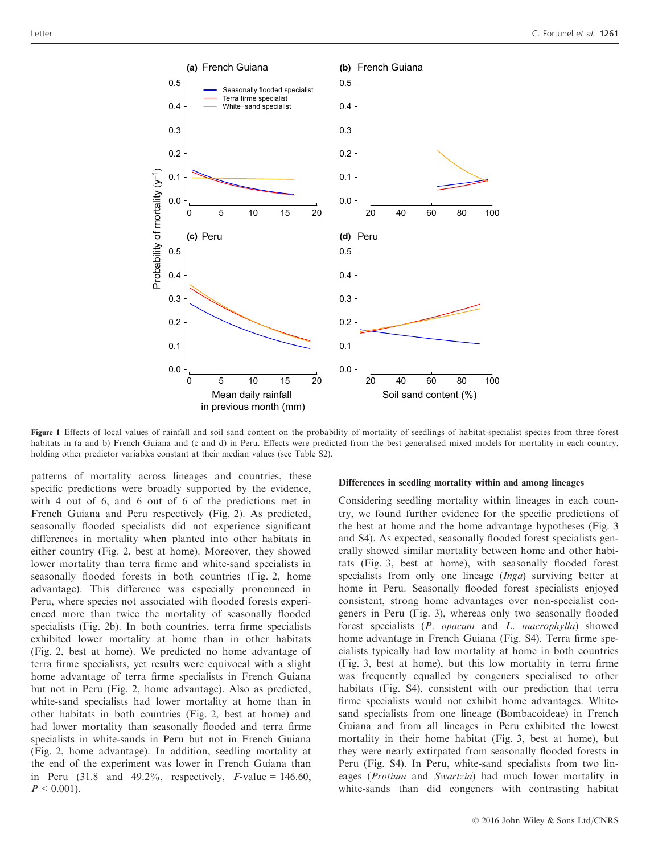

Figure 1 Effects of local values of rainfall and soil sand content on the probability of mortality of seedlings of habitat-specialist species from three forest habitats in (a and b) French Guiana and (c and d) in Peru. Effects were predicted from the best generalised mixed models for mortality in each country, holding other predictor variables constant at their median values (see Table S2).

patterns of mortality across lineages and countries, these specific predictions were broadly supported by the evidence, with 4 out of 6, and 6 out of 6 of the predictions met in French Guiana and Peru respectively (Fig. 2). As predicted, seasonally flooded specialists did not experience significant differences in mortality when planted into other habitats in either country (Fig. 2, best at home). Moreover, they showed lower mortality than terra firme and white-sand specialists in seasonally flooded forests in both countries (Fig. 2, home advantage). This difference was especially pronounced in Peru, where species not associated with flooded forests experienced more than twice the mortality of seasonally flooded specialists (Fig. 2b). In both countries, terra firme specialists exhibited lower mortality at home than in other habitats (Fig. 2, best at home). We predicted no home advantage of terra firme specialists, yet results were equivocal with a slight home advantage of terra firme specialists in French Guiana but not in Peru (Fig. 2, home advantage). Also as predicted, white-sand specialists had lower mortality at home than in other habitats in both countries (Fig. 2, best at home) and had lower mortality than seasonally flooded and terra firme specialists in white-sands in Peru but not in French Guiana (Fig. 2, home advantage). In addition, seedling mortality at the end of the experiment was lower in French Guiana than in Peru  $(31.8 \text{ and } 49.2\%$ , respectively, F-value = 146.60,  $P < 0.001$ ).

#### Differences in seedling mortality within and among lineages

Considering seedling mortality within lineages in each country, we found further evidence for the specific predictions of the best at home and the home advantage hypotheses (Fig. 3 and S4). As expected, seasonally flooded forest specialists generally showed similar mortality between home and other habitats (Fig. 3, best at home), with seasonally flooded forest specialists from only one lineage (Inga) surviving better at home in Peru. Seasonally flooded forest specialists enjoyed consistent, strong home advantages over non-specialist congeners in Peru (Fig. 3), whereas only two seasonally flooded forest specialists (P. opacum and L. macrophylla) showed home advantage in French Guiana (Fig. S4). Terra firme specialists typically had low mortality at home in both countries (Fig. 3, best at home), but this low mortality in terra firme was frequently equalled by congeners specialised to other habitats (Fig. S4), consistent with our prediction that terra firme specialists would not exhibit home advantages. Whitesand specialists from one lineage (Bombacoideae) in French Guiana and from all lineages in Peru exhibited the lowest mortality in their home habitat (Fig. 3, best at home), but they were nearly extirpated from seasonally flooded forests in Peru (Fig. S4). In Peru, white-sand specialists from two lineages (Protium and Swartzia) had much lower mortality in white-sands than did congeners with contrasting habitat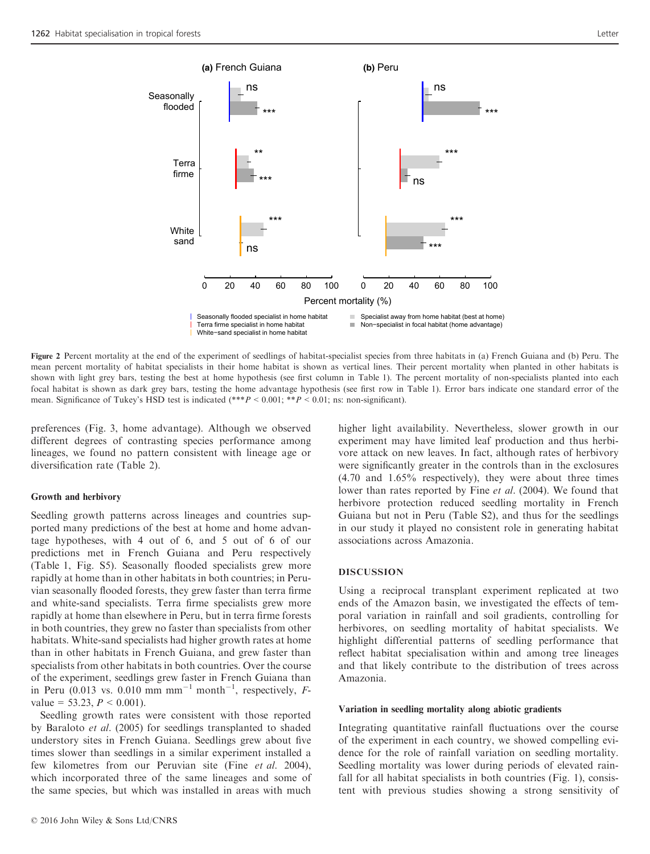

Figure 2 Percent mortality at the end of the experiment of seedlings of habitat-specialist species from three habitats in (a) French Guiana and (b) Peru. The mean percent mortality of habitat specialists in their home habitat is shown as vertical lines. Their percent mortality when planted in other habitats is shown with light grey bars, testing the best at home hypothesis (see first column in Table 1). The percent mortality of non-specialists planted into each focal habitat is shown as dark grey bars, testing the home advantage hypothesis (see first row in Table 1). Error bars indicate one standard error of the mean. Significance of Tukey's HSD test is indicated  $(**p < 0.001; **p < 0.01;$  ns: non-significant).

preferences (Fig. 3, home advantage). Although we observed different degrees of contrasting species performance among lineages, we found no pattern consistent with lineage age or diversification rate (Table 2).

#### Growth and herbivory

Seedling growth patterns across lineages and countries supported many predictions of the best at home and home advantage hypotheses, with 4 out of 6, and 5 out of 6 of our predictions met in French Guiana and Peru respectively (Table 1, Fig. S5). Seasonally flooded specialists grew more rapidly at home than in other habitats in both countries; in Peruvian seasonally flooded forests, they grew faster than terra firme and white-sand specialists. Terra firme specialists grew more rapidly at home than elsewhere in Peru, but in terra firme forests in both countries, they grew no faster than specialists from other habitats. White-sand specialists had higher growth rates at home than in other habitats in French Guiana, and grew faster than specialists from other habitats in both countries. Over the course of the experiment, seedlings grew faster in French Guiana than in Peru (0.013 vs. 0.010 mm mm<sup>-1</sup> month<sup>-1</sup>, respectively, Fvalue = 53.23,  $P < 0.001$ ).

Seedling growth rates were consistent with those reported by Baraloto et al. (2005) for seedlings transplanted to shaded understory sites in French Guiana. Seedlings grew about five times slower than seedlings in a similar experiment installed a few kilometres from our Peruvian site (Fine et al. 2004), which incorporated three of the same lineages and some of the same species, but which was installed in areas with much

higher light availability. Nevertheless, slower growth in our experiment may have limited leaf production and thus herbivore attack on new leaves. In fact, although rates of herbivory were significantly greater in the controls than in the exclosures (4.70 and 1.65% respectively), they were about three times lower than rates reported by Fine et al. (2004). We found that herbivore protection reduced seedling mortality in French Guiana but not in Peru (Table S2), and thus for the seedlings in our study it played no consistent role in generating habitat associations across Amazonia.

#### DISCUSSION

Using a reciprocal transplant experiment replicated at two ends of the Amazon basin, we investigated the effects of temporal variation in rainfall and soil gradients, controlling for herbivores, on seedling mortality of habitat specialists. We highlight differential patterns of seedling performance that reflect habitat specialisation within and among tree lineages and that likely contribute to the distribution of trees across Amazonia.

#### Variation in seedling mortality along abiotic gradients

Integrating quantitative rainfall fluctuations over the course of the experiment in each country, we showed compelling evidence for the role of rainfall variation on seedling mortality. Seedling mortality was lower during periods of elevated rainfall for all habitat specialists in both countries (Fig. 1), consistent with previous studies showing a strong sensitivity of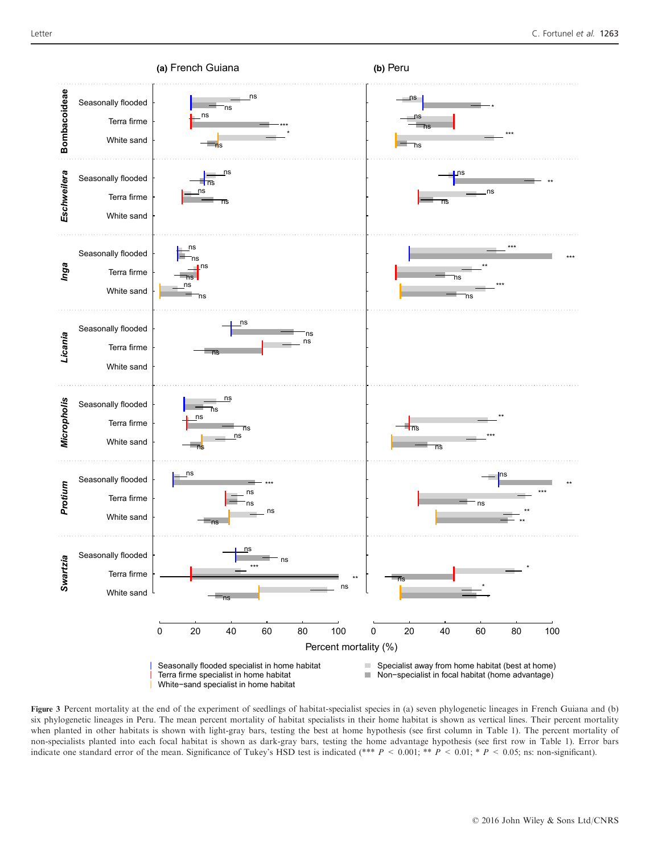

Figure 3 Percent mortality at the end of the experiment of seedlings of habitat-specialist species in (a) seven phylogenetic lineages in French Guiana and (b) six phylogenetic lineages in Peru. The mean percent mortality of habitat specialists in their home habitat is shown as vertical lines. Their percent mortality when planted in other habitats is shown with light-gray bars, testing the best at home hypothesis (see first column in Table 1). The percent mortality of non-specialists planted into each focal habitat is shown as dark-gray bars, testing the home advantage hypothesis (see first row in Table 1). Error bars indicate one standard error of the mean. Significance of Tukey's HSD test is indicated (\*\*\*  $P < 0.001$ ; \*\*  $P < 0.01$ ; \*  $P < 0.05$ ; ns: non-significant).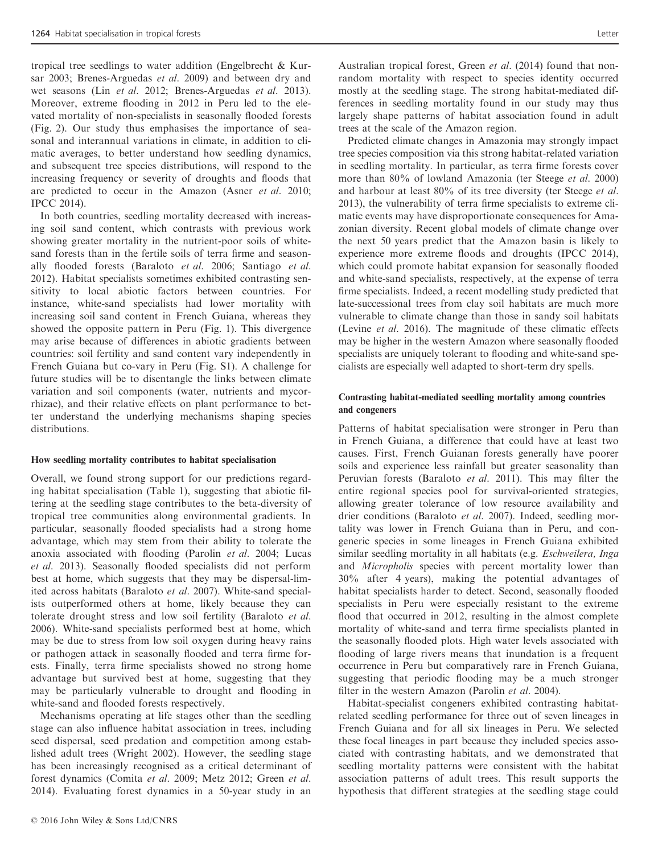tropical tree seedlings to water addition (Engelbrecht & Kursar 2003; Brenes-Arguedas et al. 2009) and between dry and wet seasons (Lin et al. 2012; Brenes-Arguedas et al. 2013). Moreover, extreme flooding in 2012 in Peru led to the elevated mortality of non-specialists in seasonally flooded forests (Fig. 2). Our study thus emphasises the importance of seasonal and interannual variations in climate, in addition to climatic averages, to better understand how seedling dynamics, and subsequent tree species distributions, will respond to the increasing frequency or severity of droughts and floods that are predicted to occur in the Amazon (Asner et al. 2010; IPCC 2014).

In both countries, seedling mortality decreased with increasing soil sand content, which contrasts with previous work showing greater mortality in the nutrient-poor soils of whitesand forests than in the fertile soils of terra firme and seasonally flooded forests (Baraloto et al. 2006; Santiago et al. 2012). Habitat specialists sometimes exhibited contrasting sensitivity to local abiotic factors between countries. For instance, white-sand specialists had lower mortality with increasing soil sand content in French Guiana, whereas they showed the opposite pattern in Peru (Fig. 1). This divergence may arise because of differences in abiotic gradients between countries: soil fertility and sand content vary independently in French Guiana but co-vary in Peru (Fig. S1). A challenge for future studies will be to disentangle the links between climate variation and soil components (water, nutrients and mycorrhizae), and their relative effects on plant performance to better understand the underlying mechanisms shaping species distributions.

## How seedling mortality contributes to habitat specialisation

Overall, we found strong support for our predictions regarding habitat specialisation (Table 1), suggesting that abiotic filtering at the seedling stage contributes to the beta-diversity of tropical tree communities along environmental gradients. In particular, seasonally flooded specialists had a strong home advantage, which may stem from their ability to tolerate the anoxia associated with flooding (Parolin et al. 2004; Lucas et al. 2013). Seasonally flooded specialists did not perform best at home, which suggests that they may be dispersal-limited across habitats (Baraloto et al. 2007). White-sand specialists outperformed others at home, likely because they can tolerate drought stress and low soil fertility (Baraloto et al. 2006). White-sand specialists performed best at home, which may be due to stress from low soil oxygen during heavy rains or pathogen attack in seasonally flooded and terra firme forests. Finally, terra firme specialists showed no strong home advantage but survived best at home, suggesting that they may be particularly vulnerable to drought and flooding in white-sand and flooded forests respectively.

Mechanisms operating at life stages other than the seedling stage can also influence habitat association in trees, including seed dispersal, seed predation and competition among established adult trees (Wright 2002). However, the seedling stage has been increasingly recognised as a critical determinant of forest dynamics (Comita et al. 2009; Metz 2012; Green et al. 2014). Evaluating forest dynamics in a 50-year study in an

Australian tropical forest, Green et al. (2014) found that nonrandom mortality with respect to species identity occurred mostly at the seedling stage. The strong habitat-mediated differences in seedling mortality found in our study may thus largely shape patterns of habitat association found in adult trees at the scale of the Amazon region.

Predicted climate changes in Amazonia may strongly impact tree species composition via this strong habitat-related variation in seedling mortality. In particular, as terra firme forests cover more than 80% of lowland Amazonia (ter Steege et al. 2000) and harbour at least 80% of its tree diversity (ter Steege et al. 2013), the vulnerability of terra firme specialists to extreme climatic events may have disproportionate consequences for Amazonian diversity. Recent global models of climate change over the next 50 years predict that the Amazon basin is likely to experience more extreme floods and droughts (IPCC 2014), which could promote habitat expansion for seasonally flooded and white-sand specialists, respectively, at the expense of terra firme specialists. Indeed, a recent modelling study predicted that late-successional trees from clay soil habitats are much more vulnerable to climate change than those in sandy soil habitats (Levine et al. 2016). The magnitude of these climatic effects may be higher in the western Amazon where seasonally flooded specialists are uniquely tolerant to flooding and white-sand specialists are especially well adapted to short-term dry spells.

# Contrasting habitat-mediated seedling mortality among countries and congeners

Patterns of habitat specialisation were stronger in Peru than in French Guiana, a difference that could have at least two causes. First, French Guianan forests generally have poorer soils and experience less rainfall but greater seasonality than Peruvian forests (Baraloto et al. 2011). This may filter the entire regional species pool for survival-oriented strategies, allowing greater tolerance of low resource availability and drier conditions (Baraloto et al. 2007). Indeed, seedling mortality was lower in French Guiana than in Peru, and congeneric species in some lineages in French Guiana exhibited similar seedling mortality in all habitats (e.g. Eschweilera, Inga and Micropholis species with percent mortality lower than 30% after 4 years), making the potential advantages of habitat specialists harder to detect. Second, seasonally flooded specialists in Peru were especially resistant to the extreme flood that occurred in 2012, resulting in the almost complete mortality of white-sand and terra firme specialists planted in the seasonally flooded plots. High water levels associated with flooding of large rivers means that inundation is a frequent occurrence in Peru but comparatively rare in French Guiana, suggesting that periodic flooding may be a much stronger filter in the western Amazon (Parolin et al. 2004).

Habitat-specialist congeners exhibited contrasting habitatrelated seedling performance for three out of seven lineages in French Guiana and for all six lineages in Peru. We selected these focal lineages in part because they included species associated with contrasting habitats, and we demonstrated that seedling mortality patterns were consistent with the habitat association patterns of adult trees. This result supports the hypothesis that different strategies at the seedling stage could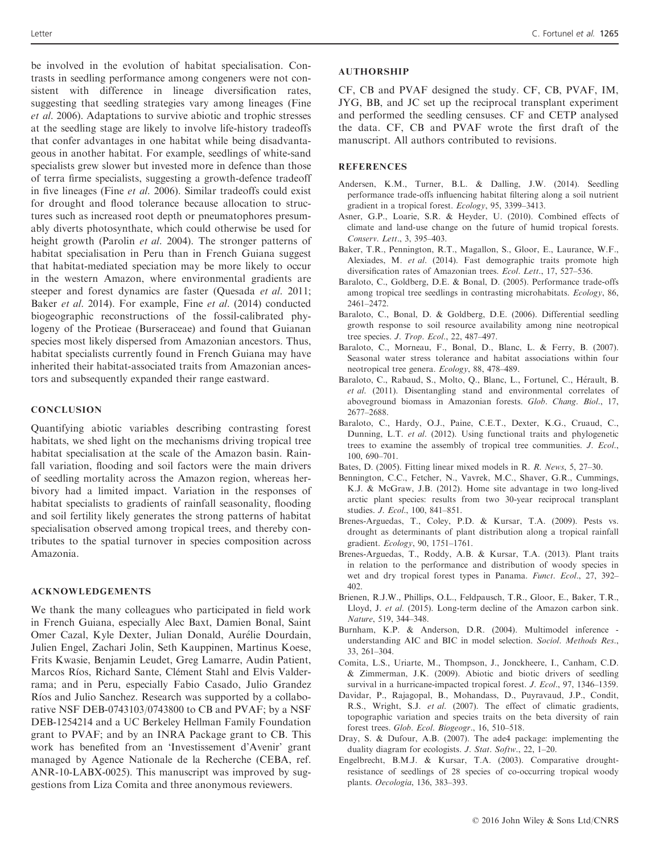be involved in the evolution of habitat specialisation. Contrasts in seedling performance among congeners were not consistent with difference in lineage diversification rates, suggesting that seedling strategies vary among lineages (Fine et al. 2006). Adaptations to survive abiotic and trophic stresses at the seedling stage are likely to involve life-history tradeoffs that confer advantages in one habitat while being disadvantageous in another habitat. For example, seedlings of white-sand specialists grew slower but invested more in defence than those of terra firme specialists, suggesting a growth-defence tradeoff in five lineages (Fine et al. 2006). Similar tradeoffs could exist for drought and flood tolerance because allocation to structures such as increased root depth or pneumatophores presumably diverts photosynthate, which could otherwise be used for height growth (Parolin et al. 2004). The stronger patterns of habitat specialisation in Peru than in French Guiana suggest that habitat-mediated speciation may be more likely to occur in the western Amazon, where environmental gradients are steeper and forest dynamics are faster (Quesada *et al.* 2011; Baker et al. 2014). For example, Fine et al. (2014) conducted biogeographic reconstructions of the fossil-calibrated phylogeny of the Protieae (Burseraceae) and found that Guianan species most likely dispersed from Amazonian ancestors. Thus, habitat specialists currently found in French Guiana may have inherited their habitat-associated traits from Amazonian ancestors and subsequently expanded their range eastward.

# **CONCLUSION**

Quantifying abiotic variables describing contrasting forest habitats, we shed light on the mechanisms driving tropical tree habitat specialisation at the scale of the Amazon basin. Rainfall variation, flooding and soil factors were the main drivers of seedling mortality across the Amazon region, whereas herbivory had a limited impact. Variation in the responses of habitat specialists to gradients of rainfall seasonality, flooding and soil fertility likely generates the strong patterns of habitat specialisation observed among tropical trees, and thereby contributes to the spatial turnover in species composition across Amazonia.

# ACKNOWLEDGEMENTS

We thank the many colleagues who participated in field work in French Guiana, especially Alec Baxt, Damien Bonal, Saint Omer Cazal, Kyle Dexter, Julian Donald, Aurelie Dourdain, Julien Engel, Zachari Jolin, Seth Kauppinen, Martinus Koese, Frits Kwasie, Benjamin Leudet, Greg Lamarre, Audin Patient, Marcos Ríos, Richard Sante, Clément Stahl and Elvis Valderrama; and in Peru, especially Fabio Casado, Julio Grandez Ríos and Julio Sanchez. Research was supported by a collaborative NSF DEB-0743103/0743800 to CB and PVAF; by a NSF DEB-1254214 and a UC Berkeley Hellman Family Foundation grant to PVAF; and by an INRA Package grant to CB. This work has benefited from an 'Investissement d'Avenir' grant managed by Agence Nationale de la Recherche (CEBA, ref. ANR-10-LABX-0025). This manuscript was improved by suggestions from Liza Comita and three anonymous reviewers.

# AUTHORSHIP

CF, CB and PVAF designed the study. CF, CB, PVAF, IM, JYG, BB, and JC set up the reciprocal transplant experiment and performed the seedling censuses. CF and CETP analysed the data. CF, CB and PVAF wrote the first draft of the manuscript. All authors contributed to revisions.

# **REFERENCES**

- Andersen, K.M., Turner, B.L. & Dalling, J.W. (2014). Seedling performance trade-offs influencing habitat filtering along a soil nutrient gradient in a tropical forest. Ecology, 95, 3399–3413.
- Asner, G.P., Loarie, S.R. & Heyder, U. (2010). Combined effects of climate and land-use change on the future of humid tropical forests. Conserv. Lett., 3, 395–403.
- Baker, T.R., Pennington, R.T., Magallon, S., Gloor, E., Laurance, W.F., Alexiades, M. et al. (2014). Fast demographic traits promote high diversification rates of Amazonian trees. Ecol. Lett., 17, 527–536.
- Baraloto, C., Goldberg, D.E. & Bonal, D. (2005). Performance trade-offs among tropical tree seedlings in contrasting microhabitats. Ecology, 86, 2461–2472.
- Baraloto, C., Bonal, D. & Goldberg, D.E. (2006). Differential seedling growth response to soil resource availability among nine neotropical tree species. J. Trop. Ecol., 22, 487–497.
- Baraloto, C., Morneau, F., Bonal, D., Blanc, L. & Ferry, B. (2007). Seasonal water stress tolerance and habitat associations within four neotropical tree genera. Ecology, 88, 478–489.
- Baraloto, C., Rabaud, S., Molto, Q., Blanc, L., Fortunel, C., Herault, B. et al. (2011). Disentangling stand and environmental correlates of aboveground biomass in Amazonian forests. Glob. Chang. Biol., 17, 2677–2688.
- Baraloto, C., Hardy, O.J., Paine, C.E.T., Dexter, K.G., Cruaud, C., Dunning, L.T. et al. (2012). Using functional traits and phylogenetic trees to examine the assembly of tropical tree communities. J. Ecol., 100, 690–701.
- Bates, D. (2005). Fitting linear mixed models in R. R. News, 5, 27–30.
- Bennington, C.C., Fetcher, N., Vavrek, M.C., Shaver, G.R., Cummings, K.J. & McGraw, J.B. (2012). Home site advantage in two long-lived arctic plant species: results from two 30-year reciprocal transplant studies. J. Ecol., 100, 841–851.
- Brenes-Arguedas, T., Coley, P.D. & Kursar, T.A. (2009). Pests vs. drought as determinants of plant distribution along a tropical rainfall gradient. Ecology, 90, 1751–1761.
- Brenes-Arguedas, T., Roddy, A.B. & Kursar, T.A. (2013). Plant traits in relation to the performance and distribution of woody species in wet and dry tropical forest types in Panama. Funct. Ecol., 27, 392– 402.
- Brienen, R.J.W., Phillips, O.L., Feldpausch, T.R., Gloor, E., Baker, T.R., Lloyd, J. et al. (2015). Long-term decline of the Amazon carbon sink. Nature, 519, 344–348.
- Burnham, K.P. & Anderson, D.R. (2004). Multimodel inference understanding AIC and BIC in model selection. Sociol. Methods Res., 33, 261–304.
- Comita, L.S., Uriarte, M., Thompson, J., Jonckheere, I., Canham, C.D. & Zimmerman, J.K. (2009). Abiotic and biotic drivers of seedling survival in a hurricane-impacted tropical forest. J. Ecol., 97, 1346–1359.
- Davidar, P., Rajagopal, B., Mohandass, D., Puyravaud, J.P., Condit, R.S., Wright, S.J. et al. (2007). The effect of climatic gradients, topographic variation and species traits on the beta diversity of rain forest trees. Glob. Ecol. Biogeogr., 16, 510–518.
- Dray, S. & Dufour, A.B. (2007). The ade4 package: implementing the duality diagram for ecologists. J. Stat. Softw., 22, 1–20.
- Engelbrecht, B.M.J. & Kursar, T.A. (2003). Comparative droughtresistance of seedlings of 28 species of co-occurring tropical woody plants. Oecologia, 136, 383–393.